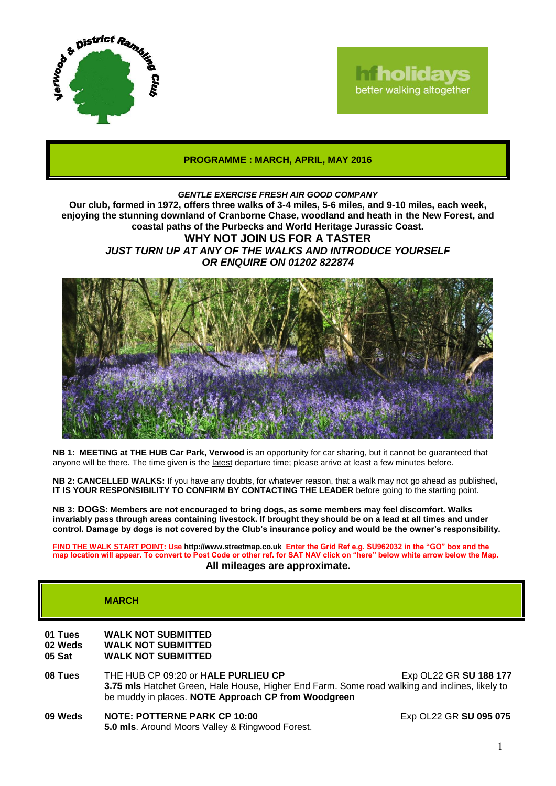

# **Tholidays** better walking altogether

## **PROGRAMME : MARCH, APRIL, MAY 2016**

## *GENTLE EXERCISE FRESH AIR GOOD COMPANY*

**Our club, formed in 1972, offers three walks of 3-4 miles, 5-6 miles, and 9-10 miles, each week, enjoying the stunning downland of Cranborne Chase, woodland and heath in the New Forest, and coastal paths of the Purbecks and World Heritage Jurassic Coast. WHY NOT JOIN US FOR A TASTER**

*JUST TURN UP AT ANY OF THE WALKS AND INTRODUCE YOURSELF OR ENQUIRE ON 01202 822874*



**NB 1: MEETING at THE HUB Car Park, Verwood** is an opportunity for car sharing, but it cannot be guaranteed that anyone will be there. The time given is the latest departure time; please arrive at least a few minutes before.

**NB 2: CANCELLED WALKS:** If you have any doubts, for whatever reason, that a walk may not go ahead as published**, IT IS YOUR RESPONSIBILITY TO CONFIRM BY CONTACTING THE LEADER** before going to the starting point.

**NB 3: DOGS: Members are not encouraged to bring dogs, as some members may feel discomfort. Walks invariably pass through areas containing livestock. If brought they should be on a lead at all times and under control. Damage by dogs is not covered by the Club's insurance policy and would be the owner's responsibility.**

**FIND THE WALK START POINT: Use http://www.streetmap.co.uk Enter the Grid Ref e.g. SU962032 in the "GO" box and the map location will appear. To convert to Post Code or other ref. for SAT NAV click on "here" below white arrow below the Map. All mileages are approximate.**

# **MARCH**

# **01 Tues WALK NOT SUBMITTED**

**02 Weds WALK NOT SUBMITTED**

**05 Sat WALK NOT SUBMITTED**

- **08 Tues** THE HUB CP 09:20 or **HALE PURLIEU CP** Exp OL22 GR SU 188 177 **3.75 mls** Hatchet Green, Hale House, Higher End Farm. Some road walking and inclines, likely to be muddy in places. **NOTE Approach CP from Woodgreen**
- **09 Weds NOTE: POTTERNE PARK CP 10:00** Exp OL22 GR **SU 095 075 5.0 mls**. Around Moors Valley & Ringwood Forest.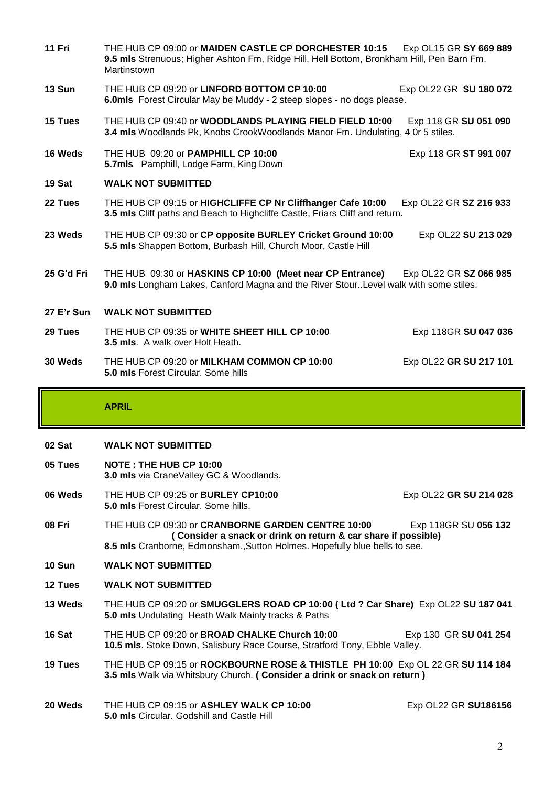**11 Fri** THE HUB CP 09:00 or **MAIDEN CASTLE CP DORCHESTER 10:15** Exp OL15 GR **SY 669 889 9.5 mls** Strenuous; Higher Ashton Fm, Ridge Hill, Hell Bottom, Bronkham Hill, Pen Barn Fm, Martinstown **13 Sun THE HUB CP 09:20 or LINFORD BOTTOM CP 10:00 Exp OL22 GR SU 180 072 6.0mls** Forest Circular May be Muddy - 2 steep slopes - no dogs please. **15 Tues** THE HUB CP 09:40 or **WOODLANDS PLAYING FIELD FIELD 10:00** Exp 118 GR **SU 051 090 3.4 mls** Woodlands Pk, Knobs CrookWoodlands Manor Fm**.** Undulating, 4 0r 5 stiles. **16 Weds** THE HUB 09:20 or **PAMPHILL CP 10:00** Exp 118 GR **ST 991 007 5.7mls** Pamphill, Lodge Farm, King Down **19 Sat WALK NOT SUBMITTED 22 Tues** THE HUB CP 09:15 or **HIGHCLIFFE CP Nr Cliffhanger Cafe 10:00** Exp OL22 GR **SZ 216 933 3.5 mls** Cliff paths and Beach to Highcliffe Castle, Friars Cliff and return. **23 Weds** THE HUB CP 09:30 or **CP opposite BURLEY Cricket Ground 10:00** Exp OL22 **SU 213 029 5.5 mls** Shappen Bottom, Burbash Hill, Church Moor, Castle Hill **25 G'd Fri** THE HUB 09:30 or **HASKINS CP 10:00 (Meet near CP Entrance)** Exp OL22 GR **SZ 066 985 9.0 mls** Longham Lakes, Canford Magna and the River Stour..Level walk with some stiles. **27 E'r Sun WALK NOT SUBMITTED 29 Tues** THE HUB CP 09:35 or **WHITE SHEET HILL CP 10:00** Exp 118GR **SU 047 036 3.5 mls**. A walk over Holt Heath. **30 Weds** THE HUB CP 09:20 or **MILKHAM COMMON CP 10:00** Exp OL22 **GR SU 217 101 5.0 mls** Forest Circular. Some hills

**APRIL**

### **02 Sat WALK NOT SUBMITTED**

- **05 Tues NOTE : THE HUB CP 10:00 3.0 mls** via CraneValley GC & Woodlands.
- **06 Weds** THE HUB CP 09:25 or **BURLEY CP10:00** Exp OL22 **GR SU 214 028 5.0 mls** Forest Circular. Some hills.
- **08 Fri** THE HUB CP 09:30 or **CRANBORNE GARDEN CENTRE 10:00** Exp 118GR SU **056 132 ( Consider a snack or drink on return & car share if possible) 8.5 mls** Cranborne, Edmonsham.,Sutton Holmes. Hopefully blue bells to see.
- **10 Sun WALK NOT SUBMITTED**
- **12 Tues WALK NOT SUBMITTED**
- **13 Weds** THE HUB CP 09:20 or **SMUGGLERS ROAD CP 10:00 ( Ltd ? Car Share)** Exp OL22 **SU 187 041 5.0 mls** Undulating Heath Walk Mainly tracks & Paths
- **16 Sat THE HUB CP 09:20 or BROAD CHALKE Church 10:00 Exp 130 GR SU 041 254 10.5 mls**. Stoke Down, Salisbury Race Course, Stratford Tony, Ebble Valley.
- **19 Tues** THE HUB CP 09:15 or **ROCKBOURNE ROSE & THISTLE PH 10:00** Exp OL 22 GR **SU 114 184 3.5 mls** Walk via Whitsbury Church. **( Consider a drink or snack on return )**
- **20 Weds** THE HUB CP 09:15 or **ASHLEY WALK CP 10:00** Exp OL22 GR **SU186156 5.0 mls** Circular. Godshill and Castle Hill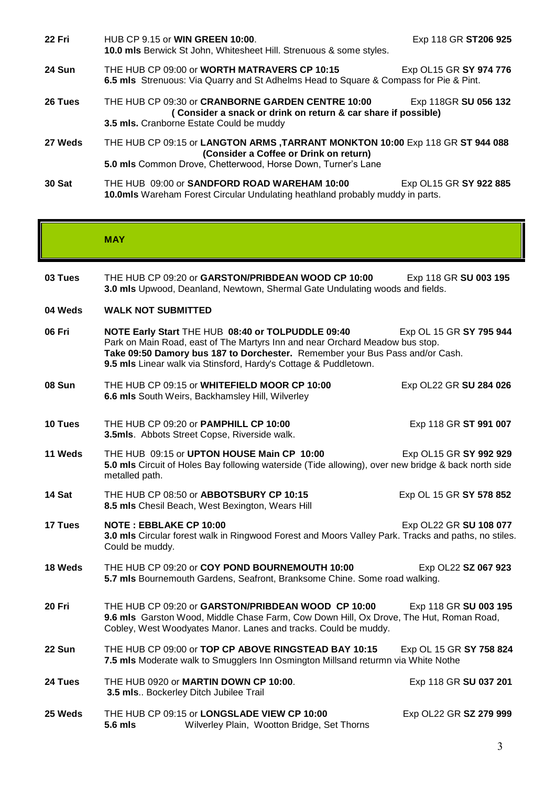| 22 Fri        | HUB CP 9.15 or <b>WIN GREEN 10:00.</b><br><b>10.0 mls</b> Berwick St John, Whitesheet Hill. Strenuous & some styles.                                                                    | Exp 118 GR ST206 925   |
|---------------|-----------------------------------------------------------------------------------------------------------------------------------------------------------------------------------------|------------------------|
| <b>24 Sun</b> | THE HUB CP 09:00 or WORTH MATRAVERS CP 10:15<br>6.5 mls Strenuous: Via Quarry and St Adhelms Head to Square & Compass for Pie & Pint.                                                   | Exp OL15 GR SY 974 776 |
| 26 Tues       | THE HUB CP 09:30 or CRANBORNE GARDEN CENTRE 10:00<br>(Consider a snack or drink on return & car share if possible)<br>3.5 mls. Cranborne Estate Could be muddy                          | Exp 118GR SU 056 132   |
| 27 Weds       | THE HUB CP 09:15 or LANGTON ARMS, TARRANT MONKTON 10:00 Exp 118 GR ST 944 088<br>(Consider a Coffee or Drink on return)<br>5.0 mls Common Drove, Chetterwood, Horse Down, Turner's Lane |                        |
| 30 Sat        | THE HUB 09:00 or SANDFORD ROAD WAREHAM 10:00<br><b>10.0mls</b> Wareham Forest Circular Undulating heathland probably muddy in parts.                                                    | Exp OL15 GR SY 922 885 |

#### **MAY**

- **03 Tues** THE HUB CP 09:20 or GARSTON/PRIBDEAN WOOD CP 10:00 Exp 118 GR SU 003 195 **3.0 mls** Upwood, Deanland, Newtown, Shermal Gate Undulating woods and fields.
- **04 Weds WALK NOT SUBMITTED**
- **06 Fri NOTE Early Start** THE HUB **08:40 or TOLPUDDLE 09:40** Exp OL 15 GR **SY 795 944** Park on Main Road, east of The Martyrs Inn and near Orchard Meadow bus stop. **Take 09:50 Damory bus 187 to Dorchester.** Remember your Bus Pass and/or Cash. **9.5 mls** Linear walk via Stinsford, Hardy's Cottage & Puddletown.
- **08 Sun** THE HUB CP 09:15 or **WHITEFIELD MOOR CP 10:00** Exp OL22 GR **SU 284 026 6.6 mls** South Weirs, Backhamsley Hill, Wilverley
- **10 Tues** THE HUB CP 09:20 or **PAMPHILL CP 10:00** Exp 118 GR **ST 991 007 3.5mls**. Abbots Street Copse, Riverside walk.
- **11 Weds** THE HUB 09:15 or **UPTON HOUSE Main CP 10:00** Exp OL15 GR **SY 992 929 5.0 mls** Circuit of Holes Bay following waterside (Tide allowing), over new bridge & back north side metalled path.
- **14 Sat** THE HUB CP 08:50 or **ABBOTSBURY CP 10:15** Exp OL 15 GR **SY 578 852 8.5 mls** Chesil Beach, West Bexington, Wears Hill
- **17 Tues NOTE : EBBLAKE CP 10:00** Exp OL22 GR **SU 108 077 3.0 mls** Circular forest walk in Ringwood Forest and Moors Valley Park. Tracks and paths, no stiles. Could be muddy.
- **18 Weds** THE HUB CP 09:20 or **COY POND BOURNEMOUTH 10:00** Exp OL22 **SZ 067 923 5.7 mls** Bournemouth Gardens, Seafront, Branksome Chine. Some road walking.
- **20 Fri** THE HUB CP 09:20 or **GARSTON/PRIBDEAN WOOD CP 10:00** Exp 118 GR **SU 003 195 9.6 mls** Garston Wood, Middle Chase Farm, Cow Down Hill, Ox Drove, The Hut, Roman Road, Cobley, West Woodyates Manor. Lanes and tracks. Could be muddy.
- **22 Sun** THE HUB CP 09:00 or **TOP CP ABOVE RINGSTEAD BAY 10:15** Exp OL 15 GR **SY 758 824 7.5 mls** Moderate walk to Smugglers Inn Osmington Millsand returmn via White Nothe
- **24 Tues** THE HUB 0920 or **MARTIN DOWN CP 10:00**. Exp 118 GR **SU 037 201 3.5 mls**.. Bockerley Ditch Jubilee Trail
- **25 Weds** THE HUB CP 09:15 or **LONGSLADE VIEW CP 10:00** Exp OL22 GR **SZ 279 999 5.6 mls** Wilverley Plain, Wootton Bridge, Set Thorns